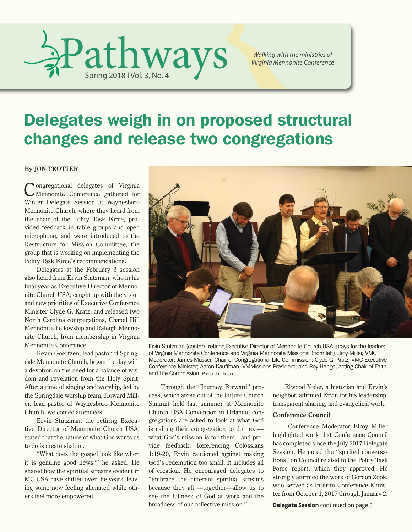

*Walking with the ministries of Virginia Mennonite Conference*

# Delegates weigh in on proposed structural changes and release two congregations

## **By JON TROTTER**

Congregational delegates of Virginia Mennonite Conference gathered for Winter Delegate Session at Waynesboro Mennonite Church, where they heard from the chair of the Polity Task Force, provided feedback in table groups and open microphone, and were introduced to the Restructure for Mission Committee, the group that is working on implementing the Polity Task Force's recommendations.

Delegates at the February 3 session also heard from Ervin Stutzman, who in his final year as Executive Director of Mennonite Church USA; caught up with the vision and new priorities of Executive Conference Minister Clyde G. Kratz; and released two North Carolina congregations, Chapel Hill Mennonite Fellowship and Raleigh Mennonite Church, from membership in Virginia Mennonite Conference.

Kevin Goertzen, lead pastor of Springdale Mennonite Church, began the day with a devotion on the need for a balance of wisdom and revelation from the Holy Spirit. After a time of singing and worship, led by the Springdale worship team, Howard Miller, lead pastor of Waynesboro Mennonite Church, welcomed attendees.

Ervin Stutzman, the retiring Executive Director of Mennonite Church USA, stated that the nature of what God wants us to do is create shalom.

"What does the gospel look like when it is genuine good news?" he asked. He shared how the spiritual streams evident in MC USA have shifted over the years, leaving some now feeling alienated while others feel more empowered.



Ervin Stutzman (center), retiring Executive Director of Mennonite Church USA, prays for the leaders of Virginia Mennonite Conference and Virginia Mennonite Missions: (from left) Elroy Miller, VMC Moderator; James Musser, Chair of Congregational Life Commission; Clyde G. Kratz, VMC Executive Conference Minister; Aaron Kauffman, VMMissions President; and Roy Hange, acting Chair of Faith and Life Commission. Photo: Jon Trotter

Through the "Journey Forward" process, which arose out of the Future Church Summit held last summer at Mennonite Church USA Convention in Orlando, congregations are asked to look at what God is calling their congregation to do next what God's mission is for them—and provide feedback. Referencing Colossians 1:19-20, Ervin cautioned against making God's redemption too small. It includes all of creation. He encouraged delegates to "embrace the different spiritual streams because they all —together—allow us to see the fullness of God at work and the broadness of our collective mission."

Elwood Yoder, a historian and Ervin's neighbor, affirmed Ervin for his leadership, transparent sharing, and evangelical work.

## **Conference Council**

 Conference Moderator Elroy Miller highlighted work that Conference Council has completed since the July 2017 Delegate Session. He noted the "spirited conversations" on Council related to the Polity Task Force report, which they approved. He strongly affirmed the work of Gordon Zook, who served as Interim Conference Minister from October 1, 2017 through January 2,

**Delegate Session** continued on page 3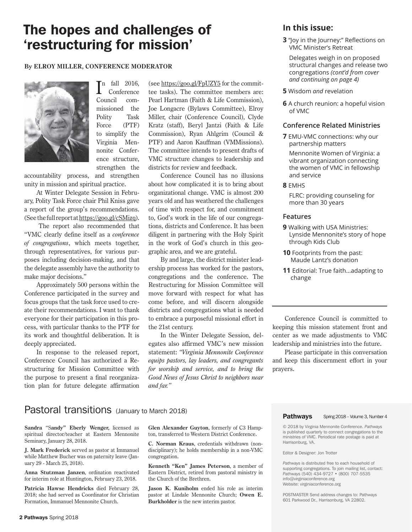# The hopes and challenges of 'restructuring for mission'

## **By ELROY MILLER, CONFERENCE MODERATOR**



 $\prod$ <sup>n</sup> fall 2016,<br>Conference Conference Council commissioned the Polity Task Force (PTF) to simplify the Virginia Mennonite Conference structure, strengthen the

accountability process, and strengthen unity in mission and spiritual practice.

At Winter Delegate Session in February, Polity Task Force chair Phil Kniss gave a report of the group's recommendations. (See the full report at https://goo.gl/cSMizq).

 The report also recommended that "VMC clearly define itself as a *conference of congregations*, which meets together, through representatives, for various purposes including decision-making, and that the delegate assembly have the authority to make major decisions."

Approximately 500 persons within the Conference participated in the survey and focus groups that the task force used to create their recommendations. I want to thank everyone for their participation in this process, with particular thanks to the PTF for its work and thoughtful deliberation. It is deeply appreciated.

In response to the released report, Conference Council has authorized a Restructuring for Mission Committee with the purpose to present a final reorganization plan for future delegate affirmation

(see https://goo.gl/FpUZY5 for the committee tasks). The committee members are: Pearl Hartman (Faith & Life Commission), Joe Longacre (Bylaws Committee), Elroy Miller, chair (Conference Council), Clyde Kratz (staff), Beryl Jantzi (Faith & Life Commission), Ryan Ahlgrim (Council & PTF) and Aaron Kauffman (VMMissions). The committee intends to present drafts of VMC structure changes to leadership and districts for review and feedback.

Conference Council has no illusions about how complicated it is to bring about organizational change. VMC is almost 200 years old and has weathered the challenges of time with respect for, and commitment to, God's work in the life of our congregations, districts and Conference. It has been diligent in partnering with the Holy Spirit in the work of God's church in this geographic area, and we are grateful.

By and large, the district minister leadership process has worked for the pastors, congregations and the conference. The Restructuring for Mission Committee will move forward with respect for what has come before, and will discern alongside districts and congregations what is needed to embrace a purposeful missional effort in the 21st century.

In the Winter Delegate Session, delegates also affirmed VMC's new mission statement: *"Virginia Mennonite Conference equips pastors, lay leaders, and congregants for worship and service, and to bring the Good News of Jesus Christ to neighbors near and far."*

# **In this issue:**

**3** "Joy in the Journey:" Reflections on VMC Minister's Retreat

 Delegates weigh in on proposed structural changes and release two congregations *(cont'd from cover and continuing on page 4)*

**5** Wisdom *and* revelation

**6** A church reunion: a hopeful vision of VMC

## **Conference Related Ministries**

**7** EMU-VMC connections: why our partnership matters

 Mennonite Women of Virginia: a vibrant organization connecting the women of VMC in fellowship and service

**8** EMHS

 FLRC: providing counseling for more than 30 years

## **Features**

- **9** Walking with USA Ministries: Lynside Mennonite's story of hope through Kids Club
- **10** Footprints from the past: Maude Lantz's donation
- **11** Editorial: True faith...adapting to change

Conference Council is committed to keeping this mission statement front and center as we made adjustments to VMC leadership and ministries into the future.

Please participate in this conversation and keep this discernment effort in your prayers.

# Pastoral transitions (January to March 2018)

**Sandra** "S**andy" Eberly Wenger,** licensed as spiritual director/teacher at Eastern Mennonite Seminary, January 28, 2018.

**J. Mark Frederick** served as pastor at Immanuel while Matthew Bucher was on paternity leave (January 29 - March 25, 2018).

**Anna Stutzman Janzen**, ordination reactivated for interim role at Huntington, February 23, 2018.

**Patricia Hawse Hendricks** died February 28, 2018; she had served as Coordinator for Christian Formation, Immanuel Mennonite Church.

**Glen Alexander Guyton**, formerly of C3 Hampton, transferred to Western District Conference.

**C. Norman Kraus**, credentials withdrawn (nondisciplinary); he holds membership in a non-VMC congregation.

**Kenneth "Ken" James Peterson**, a member of Eastern District, retired from pastoral ministry in the Church of the Brethren.

**Jason K. Kuniholm** ended his role as interim pastor at Lindale Mennonite Church; **Owen E. Burkholder** is the new interim pastor.

Pathways Spring 2018 – Volume 3, Number 4

© 2018 by Virginia Mennonite Conference. *Pathways* is published quarterly to connect congregations to the ministries of VMC. Periodical rate postage is paid at Harrisonburg, VA.

Editor & Designer: Jon Trotter

*Pathways* is distributed free to each household of supporting congregations. To join mailing list, contact: *Pathways* (540) 434-9727 • (800) 707-5535 info@virginiaconference.org Website: virginiaconference.org

POSTMASTER Send address changes to: Pathways 601 Parkwood Dr., Harrisonburg, VA 22802.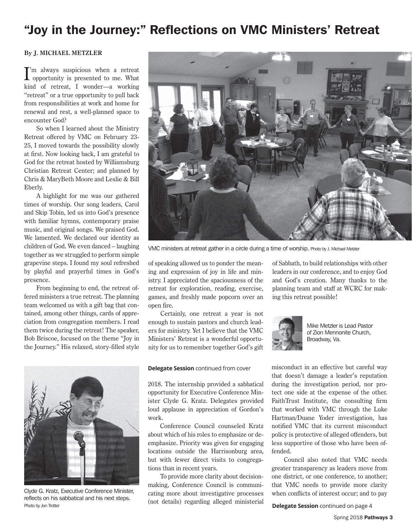# "Joy in the Journey:" Reflections on VMC Ministers' Retreat

## **By J. MICHAEL METZLER**

I 'm always suspicious when a retreat opportunity is presented to me. What kind of retreat, I wonder—a working "retreat" or a true opportunity to pull back from responsibilities at work and home for renewal and rest, a well-planned space to encounter God?

So when I learned about the Ministry Retreat offered by VMC on February 23- 25, I moved towards the possibility slowly at first. Now looking back, I am grateful to God for the retreat hosted by Williamsburg Christian Retreat Center; and planned by Chris & MaryBeth Moore and Leslie & Bill Eberly.

A highlight for me was our gathered times of worship. Our song leaders, Carol and Skip Tobin, led us into God's presence with familiar hymns, contemporary praise music, and original songs. We praised God. We lamented. We declared our identity as children of God. We even danced – laughing together as we struggled to perform simple grapevine steps. I found my soul refreshed by playful and prayerful times in God's presence.

From beginning to end, the retreat offered ministers a true retreat. The planning team welcomed us with a gift bag that contained, among other things, cards of appreciation from congregation members. I read them twice during the retreat! The speaker, Bob Briscoe, focused on the theme "Joy in the Journey." His relaxed, story-filled style



Clyde G. Kratz, Executive Conference Minister, reflects on his sabbatical and his next steps. Photo by Jon Trotter



VMC ministers at retreat gather in a circle during a time of worship. Photo by J. Michael Metzler

of speaking allowed us to ponder the meaning and expression of joy in life and ministry. I appreciated the spaciousness of the retreat for exploration, reading, exercise, games, and freshly made popcorn over an open fire.

Certainly, one retreat a year is not enough to sustain pastors and church leaders for ministry. Yet I believe that the VMC Ministers' Retreat is a wonderful opportunity for us to remember together God's gift

#### **Delegate Session** continued from cover

2018. The internship provided a sabbatical opportunity for Executive Conference Minister Clyde G. Kratz. Delegates provided loud applause in appreciation of Gordon's work.

Conference Council counseled Kratz about which of his roles to emphasize or deemphasize. Priority was given for engaging locations outside the Harrisonburg area, but with fewer direct visits to congregations than in recent years.

To provide more clarity about decisionmaking, Conference Council is communicating more about investigative processes (not details) regarding alleged ministerial of Sabbath, to build relationships with other leaders in our conference, and to enjoy God and God's creation. Many thanks to the planning team and staff at WCRC for making this retreat possible!



Mike Metzler is Lead Pastor of Zion Mennonite Church, Broadway, Va.

misconduct in an effective but careful way that doesn't damage a leader's reputation during the investigation period, nor protect one side at the expense of the other. FaithTrust Institute, the consulting firm that worked with VMC through the Luke Hartman/Duane Yoder investigation, has notified VMC that its current misconduct policy is protective of alleged offenders, but less supportive of those who have been offended.

Council also noted that VMC needs greater transparency as leaders move from one district, or one conference, to another; that VMC needs to provide more clarity when conflicts of interest occur; and to pay

**Delegate Session** continued on page 4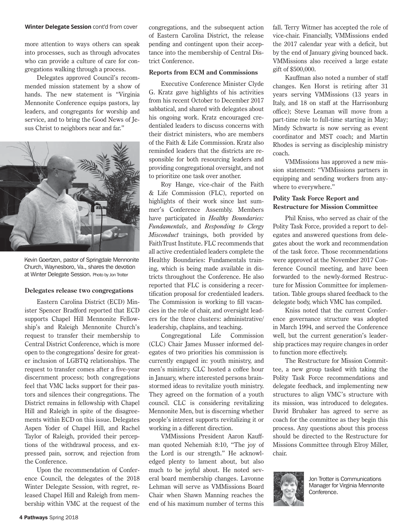#### **Winter Delegate Session** cont'd from cover

more attention to ways others can speak into processes, such as through advocates who can provide a culture of care for congregations walking through a process.

Delegates approved Council's recommended mission statement by a show of hands. The new statement is "Virginia Mennonite Conference equips pastors, lay leaders, and congregants for worship and service, and to bring the Good News of Jesus Christ to neighbors near and far."



Kevin Goertzen, pastor of Springdale Mennonite Church, Waynesboro, Va., shares the devotion at Winter Delegate Session. Photo by Jon Trotter

#### **Delegates release two congregations**

Eastern Carolina District (ECD) Minister Spencer Bradford reported that ECD supports Chapel Hill Mennonite Fellowship's and Raleigh Mennonite Church's request to transfer their membership to Central District Conference, which is more open to the congregations' desire for greater inclusion of LGBTQ relationships. The request to transfer comes after a five-year discernment process; both congregations feel that VMC lacks support for their pastors and silences their congregations. The District remains in fellowship with Chapel Hill and Raleigh in spite of the disagreements within ECD on this issue. Delegates Aspen Yoder of Chapel Hill, and Rachel Taylor of Raleigh, provided their perceptions of the withdrawal process, and expressed pain, sorrow, and rejection from the Conference.

Upon the recommendation of Conference Council, the delegates of the 2018 Winter Delegate Session, with regret, released Chapel Hill and Raleigh from membership within VMC at the request of the congregations, and the subsequent action of Eastern Carolina District, the release pending and contingent upon their acceptance into the membership of Central District Conference.

#### **Reports from ECM and Commissions**

Executive Conference Minister Clyde G. Kratz gave highlights of his activities from his recent October to December 2017 sabbatical, and shared with delegates about his ongoing work. Kratz encouraged credentialed leaders to discuss concerns with their district ministers, who are members of the Faith & Life Commission. Kratz also reminded leaders that the districts are responsible for both resourcing leaders and providing congregational oversight, and not to prioritize one task over another.

Roy Hange, vice-chair of the Faith & Life Commission (FLC), reported on highlights of their work since last summer's Conference Assembly. Members have participated in *Healthy Boundaries: Fundamentals*, and *Responding to Clergy Misconduct* trainings, both provided by FaithTrust Institute. FLC recommends that all active credentialed leaders complete the Healthy Boundaries: Fundamentals training, which is being made available in districts throughout the Conference. He also reported that FLC is considering a recertification proposal for credentialed leaders. The Commission is working to fill vacancies in the role of chair, and oversight leaders for the three clusters: administrative/ leadership, chaplains, and teaching.

Congregational Life Commission (CLC) Chair James Musser informed delegates of two priorities his commission is currently engaged in: youth ministry, and men's ministry. CLC hosted a coffee hour in January, where interested persons brainstormed ideas to revitalize youth ministry. They agreed on the formation of a youth council. CLC is considering revitalizing Mennonite Men, but is discerning whether people's interest supports revitalizing it or working in a different direction.

VMMissions President Aaron Kauffman quoted Nehemiah 8:10, "The joy of the Lord is our strength." He acknowledged plenty to lament about, but also much to be joyful about. He noted several board membership changes. Lavonne Lehman will serve as VMMissions Board Chair when Shawn Manning reaches the end of his maximum number of terms this fall. Terry Witmer has accepted the role of vice-chair. Financially, VMMissions ended the 2017 calendar year with a deficit, but by the end of January giving bounced back. VMMissions also received a large estate gift of \$500,000.

Kauffman also noted a number of staff changes. Ken Horst is retiring after 31 years serving VMMissions (13 years in Italy, and 18 on staff at the Harrisonburg office); Steve Leaman will move from a part-time role to full-time starting in May; Mindy Schwartz is now serving as event coordinator and MST coach; and Martin Rhodes is serving as discipleship ministry coach.

VMMissions has approved a new mission statement: "VMMissions partners in equipping and sending workers from anywhere to everywhere."

## **Polity Task Force Report and Restructure for Mission Committee**

Phil Kniss, who served as chair of the Polity Task Force, provided a report to delegates and answered questions from delegates about the work and recommendation of the task force. Those recommendations were approved at the November 2017 Conference Council meeting, and have been forwarded to the newly-formed Restructure for Mission Committee for implementation. Table groups shared feedback to the delegate body, which VMC has compiled.

Kniss noted that the current Conference governance structure was adopted in March 1994, and served the Conference well, but the current generation's leadership practices may require changes in order to function more effectively.

The Restructure for Mission Committee, a new group tasked with taking the Polity Task Force recommendations and delegate feedback, and implementing new structures to align VMC's structure with its mission, was introduced to delegates. David Brubaker has agreed to serve as coach for the committee as they begin this process. Any questions about this process should be directed to the Restructure for Missions Committee through Elroy Miller, chair.



Jon Trotter is Communications Manager for Virginia Mennonite Conference.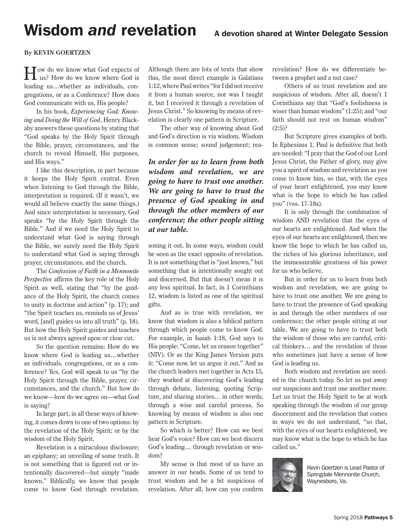# Wisdom *and* revelation

## **By KEVIN GOERTZEN**

How do we know what God expects of us? How do we know where God is leading us…whether as individuals, congregations, or as a Conference? How does God communicate with us, His people?

In his book, *Experiencing God: Knowing and Doing the Will of God*, Henry Blackaby answers these questions by stating that "God speaks by the Holy Spirit through the Bible, prayer, circumstances, and the church to reveal Himself, His purposes, and His ways."

I like this description, in part because it keeps the Holy Spirit central. Even when listening to God through the Bible, interpretation is required. (If it wasn't, we would all believe exactly the same things.) And since interpretation is necessary, God speaks "by the Holy Spirit through the Bible." And if we need the Holy Spirit to understand what God is saying through the Bible, we surely need the Holy Spirit to understand what God is saying through prayer, circumstances, and the church.

The *Confession of Faith in a Mennonite Perspective* affirms the key role of the Holy Spirit as well, stating that "by the guidance of the Holy Spirit, the church comes to unity in doctrine and action" (p. 17); and "the Spirit teaches us, reminds us of Jesus' word, [and] guides us into all truth" (p. 18). But how the Holy Spirit guides and teaches us is not always agreed upon or clear cut.

So the question remains: How do we know where God is leading us…whether as individuals, congregations, or as a conference? Yes, God will speak to us "by the Holy Spirit through the Bible, prayer, circumstances, and the church." But how do we know—how do we agree on—what God is saying?

In large part, in all these ways of knowing, it comes down to one of two options: by the revelation of the Holy Spirit; or by the wisdom of the Holy Spirit.

Revelation is a miraculous disclosure; an epiphany; an unveiling of some truth. It is not something that is figured out or intentionally discovered—but simply "made known." Biblically, we know that people come to know God through revelation.

Although there are lots of texts that show this, the most direct example is Galatians 1:12, where Paul writes "for I did not receive it from a human source, nor was I taught it, but I received it through a revelation of Jesus Christ." So knowing by means of revelation is clearly one pattern in Scripture.

The other way of knowing about God and God's direction is via wisdom. Wisdom is common sense; sound judgement; rea-

# *In order for us to learn from both wisdom and revelation, we are going to have to trust one another. We are going to have to trust the presence of God speaking in and through the other members of our conference; the other people sitting at our table.*

soning it out. In some ways, wisdom could be seen as the exact opposite of revelation. It is not something that is "just known," but something that is intentionally sought out and discerned. But that doesn't mean it is any less spiritual. In fact, in 1 Corinthians 12, wisdom is listed as one of the spiritual gifts.

And as is true with revelation, we know that wisdom is also a biblical pattern through which people come to know God. For example, in Isaiah 1:18, God says to His people: "Come, let us reason together" (NIV). Or as the King James Version puts it: "Come now, let us argue it out." And as the church leaders met together in Acts 15, they worked at discovering God's leading through debate, listening, quoting Scripture, and sharing stories… in other words, through a wise and careful process. So knowing by means of wisdom is also one pattern in Scripture.

So which is better? How can we best hear God's voice? How can we best discern God's leading… through revelation or wisdom?

My sense is that most of us have an answer in our heads. Some of us tend to trust wisdom and be a bit suspicious of revelation. After all, how can you confirm revelation? How do we differentiate between a prophet and a nut case?

Others of us trust revelation and are suspicious of wisdom. After all, doesn't 1 Corinthians say that "God's foolishness is wiser than human wisdom" (1:25); and "our faith should not rest on human wisdom"  $(2:5)$ ?

But Scripture gives examples of both. In Ephesians 1, Paul is definitive that both are needed: "I pray that the God of our Lord Jesus Christ, the Father of glory, may give you a spirit of wisdom and revelation as you come to know him, so that, with the eyes of your heart enlightened, you may know what is the hope to which he has called you" (vss. 17-18a).

It is only through the combination of wisdom AND revelation that the eyes of our hearts are enlightened. And when the eyes of our hearts are enlightened, then we know the hope to which he has called us, the riches of his glorious inheritance, and the immeasurable greatness of his power for us who believe.

But in order for us to learn from both wisdom and revelation, we are going to have to trust one another. We are going to have to trust the presence of God speaking in and through the other members of our conference; the other people sitting at our table. We are going to have to trust both the wisdom of those who are careful, critical thinkers… and the revelation of those who sometimes just have a sense of how God is leading us.

Both wisdom and revelation are needed in the church today. So let us put away our suspicions and trust one another more. Let us trust the Holy Spirit to be at work speaking through the wisdom of our group discernment and the revelation that comes in ways we do not understand, "so that, with the eyes of our hearts enlightened, we may know what is the hope to which he has called us."



Kevin Goertzen is Lead Pastor of Springdale Mennonite Church, Waynesboro, Va.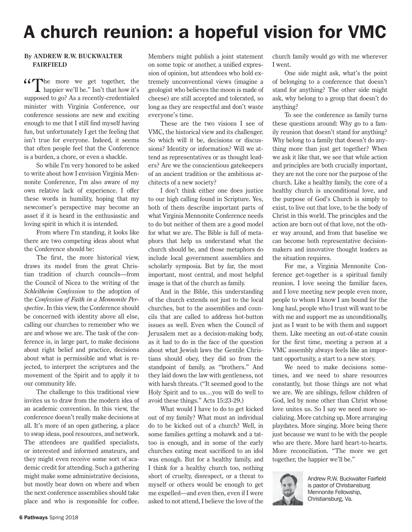# A church reunion: a hopeful vision for VMC

## **By ANDREW R.W. BUCKWALTER FAIRFIELD**

"The more we get together, the happier we'll be." Isn't that how it's supposed to go? As a recently-credentialed minister with Virginia Conference, our conference sessions are new and exciting enough to me that I still find myself having fun, but unfortunately I get the feeling that isn't true for everyone. Indeed, it seems that often people feel that the Conference is a burden, a chore, or even a shackle.

So while I'm very honored to be asked to write about how I envision Virginia Mennonite Conference, I'm also aware of my own relative lack of experience. I offer these words in humility, hoping that my newcomer's perspective may become an asset if it is heard in the enthusiastic and loving spirit in which it is intended.

From where I'm standing, it looks like there are two competing ideas about what the Conference should be:

The first, the more historical view, draws its model from the great Christian tradition of church councils—from the Council of Nicea to the writing of the *Schleitheim Confession* to the adoption of the *Confession of Faith in a Mennonite Perspective*. In this view, the Conference should be concerned with identity above all else, calling our churches to remember who we are and whose we are. The task of the conference is, in large part, to make decisions about right belief and practice, decisions about what is permissible and what is rejected, to interpret the scriptures and the movement of the Spirit and to apply it to our community life.

The challenge to this traditional view invites us to draw from the modern idea of an academic convention. In this view, the conference doesn't really make decisions at all. It's more of an open gathering, a place to swap ideas, pool resources, and network. The attendees are qualified specialists, or interested and informed amateurs, and they might even receive some sort of academic credit for attending. Such a gathering might make some administrative decisions, but mostly bear down on where and when the next conference assemblies should take place and who is responsible for coffee. Members might publish a joint statement on some topic or another, a unified expression of opinion, but attendees who hold extremely unconventional views (imagine a geologist who believes the moon is made of cheese) are still accepted and tolerated, so long as they are respectful and don't waste everyone's time.

These are the two visions I see of VMC, the historical view and its challenger. So which will it be, decisions or discussions? Identity or information? Will we attend as representatives or as thought leaders? Are we the conscientious gatekeepers of an ancient tradition or the ambitious architects of a new society?

I don't think either one does justice to our high calling found in Scripture. Yes, both of them describe important parts of what Virginia Mennonite Conference needs to do but neither of them are a good model for what we are. The Bible is full of metaphors that help us understand what the church should be, and those metaphors do include local government assemblies and scholarly symposia. But by far, the most important, most central, and most helpful image is that of the church as family.

And in the Bible, this understanding of the church extends not just to the local churches, but to the assemblies and councils that are called to address hot-button issues as well. Even when the Council of Jerusalem met as a decision-making body, as it had to do in the face of the question about what Jewish laws the Gentile Christians should obey, they did so from the standpoint of family, as "brothers." And they laid down the law with gentleness, not with harsh threats. ("It seemed good to the Holy Spirit and to us…you will do well to avoid these things." Acts 15:23-29.)

What would I have to do to get kicked out of my family? What must an individual do to be kicked out of a church? Well, in some families getting a mohawk and a tattoo is enough, and in some of the early churches eating meat sacrificed to an idol was enough. But for a healthy family, and I think for a healthy church too, nothing short of cruelty, disrespect, or a threat to myself or others would be enough to get me expelled—and even then, even if I were asked to not attend, I believe the love of the

church family would go with me wherever I went.

One side might ask, what's the point of belonging to a conference that doesn't stand for anything? The other side might ask, why belong to a group that doesn't do anything?

To see the conference as family turns these questions around: Why go to a family reunion that doesn't stand for anything? Why belong to a family that doesn't do anything more than just get together? When we ask it like that, we see that while action and principles are both crucially important, they are not the core nor the purpose of the church. Like a healthy family, the core of a healthy church is unconditional love, and the purpose of God's Church is simply to exist, to live out that love, to be the body of Christ in this world. The principles and the action are born out of that love, not the other way around, and from that baseline we can become both representative decisionmakers and innovative thought leaders as the situation requires.

For me, a Virginia Mennonite Conference get-together is a spiritual family reunion. I love seeing the familiar faces, and I love meeting new people even more, people to whom I know I am bound for the long haul, people who I trust will want to be with me and support me as unconditionally, just as I want to be with them and support them. Like meeting an out-of-state cousin for the first time, meeting a person at a VMC assembly always feels like an important opportunity, a start to a new story.

We need to make decisions sometimes, and we need to share resources constantly, but those things are not what we are. We are siblings, fellow children of God, led by none other than Christ whose love unites us. So I say we need more socializing. More catching up. More arranging playdates. More singing. More being there just because we want to be with the people who are there. More hard heart-to-hearts. More reconciliation. "The more we get together, the happier we'll be."



Andrew R.W. Buckwalter Fairfield is pastor of Christiansburg Mennonite Fellowship, Christiansburg, Va.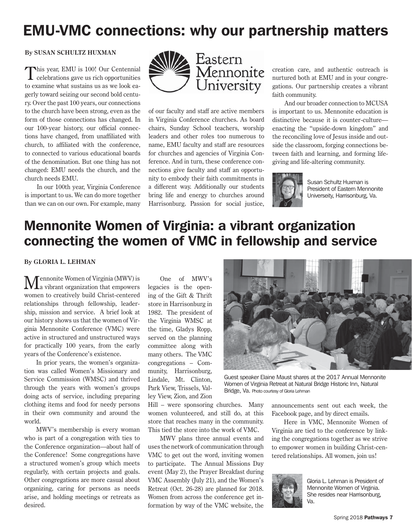# EMU-VMC connections: why our partnership matters

## **By SUSAN SCHULTZ HUXMAN**

This year, EMU is 100! Our Centennial celebrations gave us rich opportunities to examine what sustains us as we look eagerly toward seizing our second bold century. Over the past 100 years, our connections to the church have been strong, even as the form of those connections has changed. In our 100-year history, our official connections have changed, from unaffiliated with church, to affiliated with the conference, to connected to various educational boards of the denomination. But one thing has not changed: EMU needs the church, and the church needs EMU.

In our 100th year, Virginia Conference is important to us. We can do more together than we can on our own. For example, many



of our faculty and staff are active members in Virginia Conference churches. As board chairs, Sunday School teachers, worship leaders and other roles too numerous to name, EMU faculty and staff are resources for churches and agencies of Virginia Conference. And in turn, these conference connections give faculty and staff an opportunity to embody their faith commitments in a different way. Additionally our students bring life and energy to churches around Harrisonburg. Passion for social justice,

creation care, and authentic outreach is nurtured both at EMU and in your congregations. Our partnership creates a vibrant faith community.

And our broader connection to MCUSA is important to us. Mennonite education is distinctive because it is counter-culture enacting the "upside-down kingdom" and the reconciling love of Jesus inside and outside the classroom, forging connections between faith and learning, and forming lifegiving and life-altering community.



Susan Schultz Huxman is President of Eastern Mennonite Universeity, Harrisonburg, Va.

# Mennonite Women of Virginia: a vibrant organization connecting the women of VMC in fellowship and service

**By GLORIA L. LEHMAN** 

Mennonite Women of Virginia (MWV) is a vibrant organization that empowers women to creatively build Christ-centered relationships through fellowship, leadership, mission and service. A brief look at our history shows us that the women of Virginia Mennonite Conference (VMC) were active in structured and unstructured ways for practically 100 years, from the early years of the Conference's existence.

In prior years, the women's organization was called Women's Missionary and Service Commission (WMSC) and thrived through the years with women's groups doing acts of service, including preparing clothing items and food for needy persons in their own community and around the world.

MWV's membership is every woman who is part of a congregation with ties to the Conference organization—about half of the Conference! Some congregations have a structured women's group which meets regularly, with certain projects and goals. Other congregations are more casual about organizing, caring for persons as needs arise, and holding meetings or retreats as desired.

One of MWV's legacies is the opening of the Gift & Thrift store in Harrisonburg in 1982. The president of the Virginia WMSC at the time, Gladys Ropp, served on the planning committee along with many others. The VMC congregations – Community, Harrisonburg, Lindale, Mt. Clinton, Park View, Trissels, Valley View, Zion, and Zion

Hill – were sponsoring churches. Many women volunteered, and still do, at this store that reaches many in the community. This tied the store into the work of VMC.

MWV plans three annual events and uses the network of communication through VMC to get out the word, inviting women to participate. The Annual Missions Day event (May 2), the Prayer Breakfast during VMC Assembly (July 21), and the Women's Retreat (Oct. 26-28) are planned for 2018. Women from across the conference get information by way of the VMC website, the



Guest speaker Elaine Maust shares at the 2017 Annual Mennonite Women of Virginia Retreat at Natural Bridge Historic Inn, Natural Bridge, Va. Photo courtesy of Gloria Lehman

announcements sent out each week, the Facebook page, and by direct emails.

Here in VMC, Mennonite Women of Virginia are tied to the conference by linking the congregations together as we strive to empower women in building Christ-centered relationships. All women, join us!



Gloria L. Lehman is President of Mennonite Women of Virginia. She resides near Harrisonburg, Va.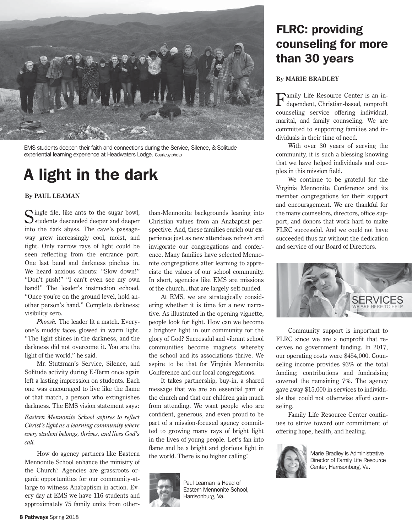

EMS students deepen their faith and connections during the Service, Silence, & Solitude experiential learning experience at Headwaters Lodge. Courtesy photo

# A light in the dark

**By PAUL LEAMAN**

Cingle file, like ants to the sugar bowl, Students descended deeper and deeper into the dark abyss. The cave's passageway grew increasingly cool, moist, and tight. Only narrow rays of light could be seen reflecting from the entrance port. One last bend and darkness pinches in. We heard anxious shouts: "Slow down!" "Don't push!" "I can't even see my own hand!" The leader's instruction echoed, "Once you're on the ground level, hold another person's hand." Complete darkness; visibility zero.

*Phoosh.* The leader lit a match. Everyone's muddy faces glowed in warm light. "The light shines in the darkness, and the darkness did not overcome it. You are the light of the world," he said.

Mr. Stutzman's Service, Silence, and Solitude activity during E-Term once again left a lasting impression on students. Each one was encouraged to live like the flame of that match, a person who extinguishes darkness. The EMS vision statement says:

*Eastern Mennonite School aspires to reflect Christ's light as a learning community where every student belongs, thrives, and lives God's call.*

How do agency partners like Eastern Mennonite School enhance the ministry of the Church? Agencies are grassroots organic opportunities for our community-atlarge to witness Anabaptism in action. Every day at EMS we have 116 students and approximately 75 family units from otherthan-Mennonite backgrounds leaning into Christian values from an Anabaptist perspective. And, these families enrich our experience just as new attendees refresh and invigorate our congregations and conference. Many families have selected Mennonite congregations after learning to appreciate the values of our school community. In short, agencies like EMS are missions of the church...that are largely self-funded.

At EMS, we are strategically considering whether it is time for a new narrative. As illustrated in the opening vignette, people look for light. How can we become a brighter light in our community for the glory of God? Successful and vibrant school communities become magnets whereby the school and its associations thrive. We aspire to be that for Virginia Mennonite Conference and our local congregations.

It takes partnership, buy-in, a shared message that we are an essential part of the church and that our children gain much from attending. We want people who are confident, generous, and even proud to be part of a mission-focused agency committed to growing many rays of bright light in the lives of young people. Let's fan into flame and be a bright and glorious light in the world. There is no higher calling!



Paul Leaman is Head of Eastern Mennonite School, Harrisonburg, Va.

# FLRC: providing counseling for more than 30 years

## **By MARIE BRADLEY**

**Family Life Resource Center is an in**dependent, Christian-based, nonprofit counseling service offering individual, marital, and family counseling. We are committed to supporting families and individuals in their time of need.

With over 30 years of serving the community, it is such a blessing knowing that we have helped individuals and couples in this mission field.

We continue to be grateful for the Virginia Mennonite Conference and its member congregations for their support and encouragement. We are thankful for the many counselors, directors, office support, and donors that work hard to make FLRC successful. And we could not have succeeded thus far without the dedication and service of our Board of Directors.



Community support is important to FLRC since we are a nonprofit that receives no government funding. In 2017, our operating costs were \$454,000. Counseling income provides 93% of the total funding; contributions and fundraising covered the remaining 7%. The agency gave away \$15,000 in services to individuals that could not otherwise afford counseling.

Family Life Resource Center continues to strive toward our commitment of offering hope, health, and healing.



Marie Bradley is Administrative Director of Family Life Resource Center, Harrisonburg, Va.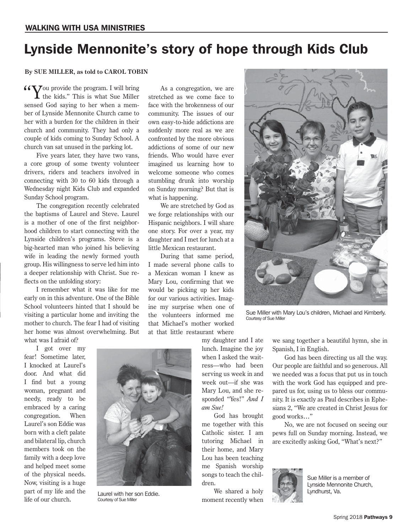# Lynside Mennonite's story of hope through Kids Club

## **By SUE MILLER, as told to CAROL TOBIN**

 $\sqrt{\sqrt{y}}$  you provide the program. I will bring the kids." This is what Sue Miller sensed God saying to her when a member of Lynside Mennonite Church came to her with a burden for the children in their church and community. They had only a couple of kids coming to Sunday School. A church van sat unused in the parking lot.

Five years later, they have two vans, a core group of some twenty volunteer drivers, riders and teachers involved in connecting with 30 to 60 kids through a Wednesday night Kids Club and expanded Sunday School program.

The congregation recently celebrated the baptisms of Laurel and Steve. Laurel is a mother of one of the first neighborhood children to start connecting with the Lynside children's programs. Steve is a big-hearted man who joined his believing wife in leading the newly formed youth group. His willingness to serve led him into a deeper relationship with Christ. Sue reflects on the unfolding story:

I remember what it was like for me early on in this adventure. One of the Bible School volunteers hinted that I should be visiting a particular home and inviting the mother to church. The fear I had of visiting her home was almost overwhelming. But what was I afraid of?

I got over my fear! Sometime later, I knocked at Laurel's door. And what did I find but a young woman, pregnant and needy, ready to be embraced by a caring congregation. When Laurel's son Eddie was born with a cleft palate and bilateral lip, church members took on the family with a deep love and helped meet some of the physical needs. Now, visiting is a huge part of my life and the life of our church.

As a congregation, we are stretched as we come face to face with the brokenness of our community. The issues of our own easy-to-hide addictions are suddenly more real as we are confronted by the more obvious addictions of some of our new friends. Who would have ever imagined us learning how to welcome someone who comes stumbling drunk into worship on Sunday morning? But that is what is happening.

We are stretched by God as we forge relationships with our Hispanic neighbors. I will share one story. For over a year, my daughter and I met for lunch at a little Mexican restaurant.

During that same period, I made several phone calls to a Mexican woman I knew as Mary Lou, confirming that we would be picking up her kids for our various activities. Imagine my surprise when one of the volunteers informed me that Michael's mother worked at that little restaurant where

my daughter and I ate lunch. Imagine the joy when I asked the waitress—who had been serving us week in and week out—if she was Mary Lou, and she responded "Yes!" *And I am Sue!*

God has brought me together with this Catholic sister. I am tutoring Michael in their home, and Mary Lou has been teaching me Spanish worship songs to teach the children.

We shared a holy moment recently when

Sue Miller with Mary Lou's children, Michael and Kimberly. Courtesy of Sue Miller

we sang together a beautiful hymn, she in Spanish, I in English.

God has been directing us all the way. Our people are faithful and so generous. All we needed was a focus that put us in touch with the work God has equipped and prepared us for, using us to bless our community. It is exactly as Paul describes in Ephesians 2, "We are created in Christ Jesus for good works…"

No, we are not focused on seeing our pews full on Sunday morning. Instead, we are excitedly asking God, "What's next?"



Sue Miller is a member of Lynside Mennonite Church, Lyndhurst, Va.



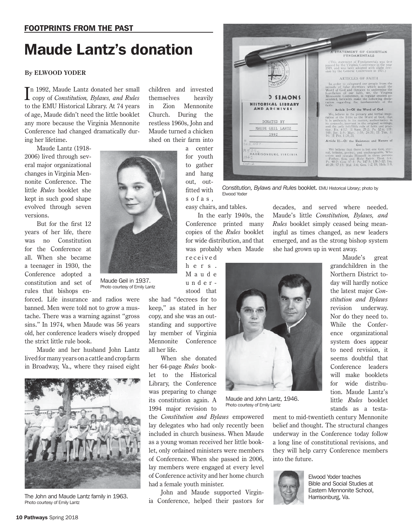# Maude Lantz's donation

## **By ELWOOD YODER**

I copy of *Constitution, Bylaws, and Rules*  n 1992, Maude Lantz donated her small to the EMU Historical Library. At 74 years of age, Maude didn't need the little booklet any more because the Virginia Mennonite Conference had changed dramatically during her lifetime.

Maude Lantz (1918- 2006) lived through several major organizational changes in Virginia Mennonite Conference. The little *Rules* booklet she kept in such good shape evolved through seven versions.

But for the first 12 years of her life, there was no Constitution for the Conference at all. When she became a teenager in 1930, the Conference adopted a constitution and set of rules that bishops en-

forced. Life insurance and radios were banned. Men were told not to grow a mustache. There was a warning against "gross sins." In 1974, when Maude was 56 years old, her conference leaders wisely dropped the strict little rule book.

Maude and her husband John Lantz lived for many years on a cattle and crop farm in Broadway, Va., where they raised eight



The John and Maude Lantz family in 1963. Photo courtesy of Emily Lantz

children and invested themselves heavily in Zion Mennonite Church. During the restless 1960s, John and Maude turned a chicken shed on their farm into

> a center for youth to gather and hang out, outfitted with s o f a s ,



*Constitution, Bylaws and Rules* booklet. EMU Historical Library; photo by Elwood Yoder

easy chairs, and tables.

In the early 1940s, the Conference printed many copies of the *Rules* booklet for wide distribution, and that was probably when Maude r e c e i v e d

h e r s . M a u d e understood that

she had "decrees for to keep," as stated in her copy, and she was an outstanding and supportive lay member of Virginia Mennonite Conference all her life.

When she donated her 64-page *Rules* booklet to the Historical Library, the Conference was preparing to change its constitution again. A 1994 major revision to

the *Constitution and Bylaws* empowered lay delegates who had only recently been included in church business. When Maude as a young woman received her little booklet, only ordained ministers were members of Conference. When she passed in 2006, lay members were engaged at every level of Conference activity and her home church had a female youth minister.

John and Maude supported Virginia Conference, helped their pastors for

decades, and served where needed. Maude's little *Constitution, Bylaws, and Rules* booklet simply ceased being meaningful as times changed, as new leaders emerged, and as the strong bishop system she had grown up in went away.



Maude and John Lantz, 1946. Photo courtesy of Emily Lantz

Northern District today will hardly notice the latest major *Constitution and Bylaws*  revision underway. Nor do they need to. While the Conference organizational system does appear to need revision, it seems doubtful that Conference leaders will make booklets for wide distribution. Maude Lantz's little *Rules* booklet stands as a testa-

Maude's great grandchildren in the

ment to mid-twentieth century Mennonite belief and thought. The structural changes underway in the Conference today follow a long line of constitutional revisions, and they will help carry Conference members into the future.



Elwood Yoder teaches Bible and Social Studies at Eastern Mennonite School, Harrisonburg, Va.



Maude Geil in 1937. Photo courtesy of Emily Lantz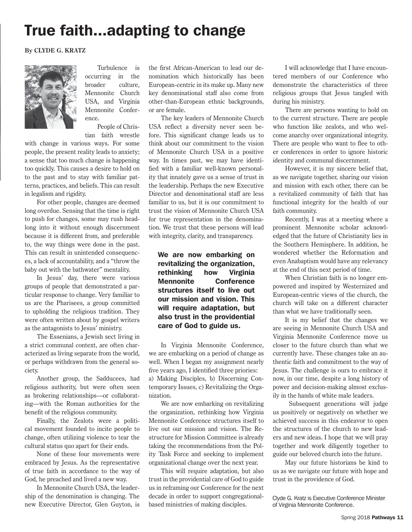# True faith...adapting to change

**By CLYDE G. KRATZ**



Turbulence is occurring in the broader culture, Mennonite Church USA, and Virginia Mennonite Conference.

People of Christian faith wrestle

with change in various ways. For some people, the present reality leads to anxiety; a sense that too much change is happening too quickly. This causes a desire to hold on to the past and to stay with familiar patterns, practices, and beliefs. This can result in legalism and rigidity.

For other people, changes are deemed long overdue. Sensing that the time is right to push for changes, some may rush headlong into it without enough discernment because it is different from, and preferable to, the way things were done in the past. This can result in unintended consequences, a lack of accountability, and a "throw the baby out with the bathwater" mentality.

In Jesus' day, there were various groups of people that demonstrated a particular response to change. Very familiar to us are the Pharisees, a group committed to upholding the religious tradition. They were often written about by gospel writers as the antagonists to Jesus' ministry.

The Essenians, a Jewish sect living in a strict communal context, are often characterized as living separate from the world, or perhaps withdrawn from the general society.

Another group, the Sadducees, had religious authority, but were often seen as brokering relationships—or collaborating—with the Roman authorities for the benefit of the religious community.

Finally, the Zealots were a political movement founded to incite people to change, often utilizing violence to tear the cultural status quo apart for their ends.

None of these four movements were embraced by Jesus. As the representative of true faith in accordance to the way of God, he preached and lived a new way.

In Mennonite Church USA, the leadership of the denomination is changing. The new Executive Director, Glen Guyton, is the first African-American to lead our denomination which historically has been European-centric in its make up. Many new key denominational staff also come from other-than-European ethnic backgrounds, or are female.

The key leaders of Mennonite Church USA reflect a diversity never seen before. This significant change leads us to think about our commitment to the vision of Mennonite Church USA in a positive way. In times past, we may have identified with a familiar well-known personality that innately gave us a sense of trust in the leadership. Perhaps the new Executive Director and denominational staff are less familiar to us, but it is our commitment to trust the vision of Mennonite Church USA for true representation in the denomination. We trust that these persons will lead with integrity, clarity, and transparency.

We are now embarking on revitalizing the organization, rethinking how Virginia Mennonite Conference structures itself to live out our mission and vision. This will require adaptation, but also trust in the providential care of God to guide us.

In Virginia Mennonite Conference, we are embarking on a period of change as well. When I began my assignment nearly five years ago, I identified three priories: a) Making Disciples, b) Discerning Contemporary Issues, c) Revitalizing the Organization.

We are now embarking on revitalizing the organization, rethinking how Virginia Mennonite Conference structures itself to live out our mission and vision. The Restructure for Mission Committee is already taking the recommendations from the Polity Task Force and seeking to implement organizational change over the next year.

This will require adaptation, but also trust in the providential care of God to guide us in reframing our Conference for the next decade in order to support congregationalbased ministries of making disciples.

I will acknowledge that I have encountered members of our Conference who demonstrate the characteristics of three religious groups that Jesus tangled with during his ministry.

There are persons wanting to hold on to the current structure. There are people who function like zealots, and who welcome anarchy over organizational integrity. There are people who want to flee to other conferences in order to ignore historic identity and communal discernment.

However, it is my sincere belief that, as we navigate together, sharing our vision and mission with each other, there can be a revitalized community of faith that has functional integrity for the health of our faith community.

Recently, I was at a meeting where a prominent Mennonite scholar acknowledged that the future of Christianity lies in the Southern Hemisphere. In addition, he wondered whether the Reformation and even Anabaptism would have any relevancy at the end of this next period of time.

When Christian faith is no longer empowered and inspired by Westernized and European-centric views of the church, the church will take on a different character than what we have traditionally seen.

It is my belief that the changes we are seeing in Mennonite Church USA and Virginia Mennonite Conference move us closer to the future church than what we currently have. These changes take an authentic faith and commitment to the way of Jesus. The challenge is ours to embrace it now, in our time, despite a long history of power and decision-making almost exclusily in the hands of white male leaders.

 Subsequent generations will judge us positively or negatively on whether we achieved success in this endeavor to open the structures of the church to new leaders and new ideas. I hope that we will pray together and work diligently together to guide our beloved church into the future.

May our future historians be kind to us as we navigate our future with hope and trust in the providence of God.

Clyde G. Kratz is Executive Conference Minister of Virginia Mennonite Conference.